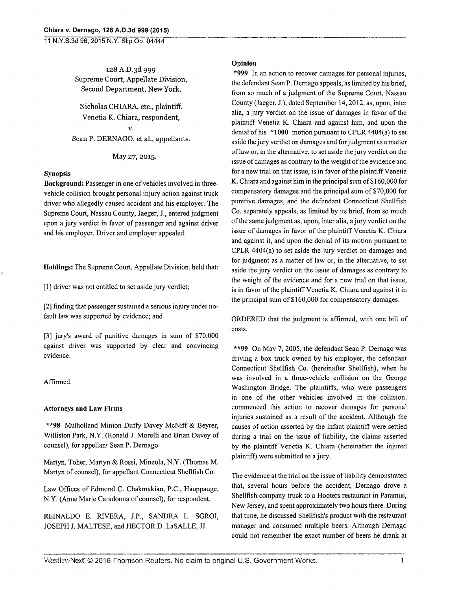**11 N.Y.S.3d 96, 2015 N.Y. Shp Op. 04444** 

**128** A.D.3d 999 Supreme Court, Appellate Division, Second Department, New York.

Nicholas CHIARA, etc., plaintiff, Venetia K. Chiara, respondent, V.

Sean P. DERNAGO, et al., appellants.

### May 27, 2015.

### **Synopsis**

**Background:** Passenger in one of vehicles involved in threevehicle collision brought personal injury action against truck driver who allegedly caused accident and his employer. The Supreme Court, Nassau County, Jaeger, J., entered judgment upon a jury verdict in favor of passenger and against driver and his employer. Driver and employer appealed.

**Holdings:** The Supreme Court, Appellate Division, held that:

 $\lceil 1 \rceil$  driver was not entitled to set aside jury verdict;

[2] finding that passenger sustained a serious injury under nofault law was supported by evidence; and

[3] jury's award of punitive damages in sum of \$70,000 against driver was supported by clear and convincing evidence.

## Affirmed.

### **Attorneys and Law Firms**

**\*\*98** Mulholland Minion Duffy Davey McNiff & Beyrer, Williston Park, N.Y. (Ronald J. Morelli and Brian Davey of counsel), for appellant Sean P. Dernago.

Martyn, Toher, Martyn & Rossi, Mineola, N.Y. (Thomas M. Martyn of counsel), for appellant Connecticut Shellfish Co.

Law Offices of Edmond C. Chakmakian, P.C., Hauppauge, N.Y. (Anne Marie Caradonna of counsel), for respondent.

REINALDO E. RIVERA, J.P., SANDRA L. SGROI, JOSEPH J. MALTESE, and HECTOR D. LaSALLE, JJ.

### **Opinion**

**\*999** In an action to recover damages for personal injuries, the defendant Sean P. Dernago appeals, as limited by his brief, from so much of a judgment of the Supreme Court, Nassau County (Jaeger, J.), dated September 14,2012, as, upon, inter alia, a jury verdict on the issue of damages in favor of the plaintiff Venetia K. Chiara and against him, and upon the denial of his **\*1000** motion pursuant to CPLR 4404(a) to set aside the jury verdict on damages and for judgment as a matter of law or, in the alternative, to set aside the jury verdict on the issue of damages as contrary to the weight of the evidence and for a new trial on that issue, is in favor of the plaintiff Venetia K. Chiara and against him in the principal sum of \$160,000 for compensatory damages and the principal sum of \$70,000 for punitive damages, and the defendant Connecticut Shellfish Co. separately appeals, as limited by its brief, from so much of the same judgment as, upon, inter alia, a jury verdict on the issue of damages in favor of the plaintiff Venetia K. Chiara and against it, and upon the denial of its motion pursuant to CPLR 4404(a) to set aside the jury verdict on damages and for judgment as a matter of law or, in the alternative, to set aside the jury verdict on the issue of damages as contrary to the weight of the evidence and for a new trial on that issue, is in favor of the plaintiff Venetia K. Chiara and against it in the principal sum of \$160,000 for compensatory damages.

ORDERED that the judgment is affirmed, with one bill of costs.

**\*\*99** On May 7, 2005, the defendant Sean P. Dernago was driving a box truck owned by his employer, the defendant Connecticut Shellfish Co. (hereinafter Shellfish), when he was involved in a three-vehicle collision on the George Washington Bridge. The plaintiffs, who were passengers in one of the other vehicles involved in the collision, commenced this action to recover damages for personal injuries sustained as a result of the accident. Although the causes of action asserted by the infant plaintiff were settled during a trial on the issue of liability, the claims asserted by the plaintiff Venetia K. Chiara (hereinafter the injured plaintiff) were submitted to a jury.

The evidence at the trial on the issue of liability demonstrated that, several hours before the accident, Dernago drove a Shellfish company truck to a Hooters restaurant in Paramus, New Jersey, and spent approximately two hours there. During that time, he discussed Shellfish's product with the restaurant manager and consumed multiple beers. Although Dernago could not remember the exact number of beers he drank at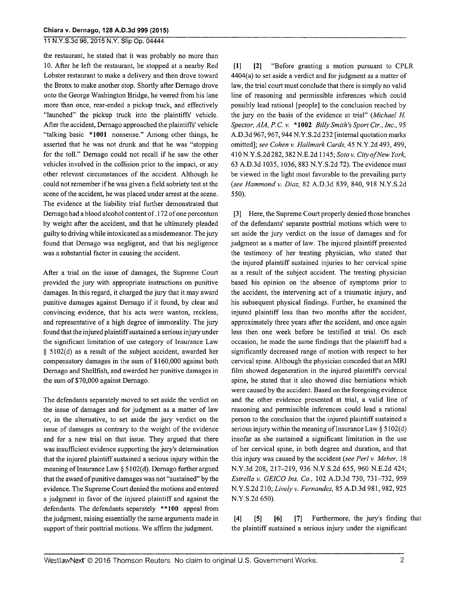# 11 N.Y.S.3d 96, 2015 N.Y. Slip Op. 04444

the restaurant, he stated that it was probably no more than 10. After he left the restaurant, he stopped at a nearby Red Lobster restaurant to make a delivery and then drove toward the Bronx to make another stop. Shortly after Dernago drove onto the George Washington Bridge, he veered from his lane more than once, rear-ended a pickup truck, and effectively "launched" the pickup truck into the plaintiffs' vehicle. After the accident, Dernago approached the plaintiffs' vehicle "talking basic \*1001 nonsense." Among other things, he asserted that he was not drunk and that he was "stopping for the toll." Dernago could not recall if he saw the other vehicles involved in the collision prior to the impact, or any other relevant circumstances of the accident. Although he could not remember if he was given a field sobriety test at the scene of the accident, he was placed under arrest at the scene. The evidence at the liability trial further demonstrated that Dernago had a blood alcohol content of .172 of one percentum by weight after the accident, and that he ultimately pleaded guilty to driving while intoxicated as a misdemeanor. The jury found that Dernago was negligent, and that his negligence was a substantial factor in causing the accident.

After a trial on the issue of damages, the Supreme Court provided the jury with appropriate instructions on punitive damages. In this regard, it charged the jury that it may award punitive damages against Dernago if it found, by clear and convincing evidence, that his acts were wanton, reckless, and representative of a high degree of immorality. The jury found that the injured plaintiff sustained a serious injury under the significant limitation of use category of Insurance Law § 5102(d) as a result of the subject accident, awarded her compensatory damages in the sum of \$160,000 against both Dernago and Shellfish, and awarded her punitive damages in the sum of \$70,000 against Dernago.

The defendants separately moved to set aside the verdict on the issue of damages and for judgment as a matter of law or, in the alternative, to set aside the jury verdict on the issue of damages as contrary to the weight of the evidence and for a new trial on that issue. They argued that there was insufficient evidence supporting the jury's determination that the injured plaintiff sustained a serious injury within the meaning of Insurance Law § 5102(d). Dernago further argued that the award of punitive damages was not "sustained" by the evidence. The Supreme Court denied the motions and entered a judgment in favor of the injured plaintiff and against the defendants. The defendants separately \*\*100 appeal from the judgment, raising essentially the same arguments made in support of their posttrial motions. We affirm the judgment.

[1] [2] "Before granting a motion pursuant to CPLR 4404(a) to set aside a verdict and for judgment as a matter of law, the trial court must conclude that there is simply no valid line of reasoning and permissible inferences which could possibly lead rational [people] to the conclusion reached by the jury on the basis of the evidence at trial" *(Michael H. Spector, AIA, P.C. v.* \*1002 *Billy Smith's Sport Ctr., Inc.,* 95 A.D.3d 967, 967, 944 N.Y.S.2d 232 [internal quotation marks omitted]; *see Cohen v. Hallmark Cards,* 45 N.Y.2d 493, 499, 410 N.Y.S.2d 282, 382 N.E.2d 1145; Soto v. City of New York, 63 A.D.3d 1035, 1036, 883 N.Y.S.2d 72). The evidence must be viewed in the light most favorable to the prevailing party *(see Hammond v. Diaz,* 82 A.D.3d 839, 840, 918 N.Y.S.2d 550).

[3] Here, the Supreme Court properly denied those branches of the defendants' separate posttrial motions which were to set aside the jury verdict on the issue of damages and for judgment as a matter of law. The injured plaintiff presented the testimony of her treating physician, who stated that the injured plaintiff sustained injuries to her cervical spine as a result of the subject accident. The treating physician based his opinion on the absence of symptoms prior to the accident, the intervening act of a traumatic injury, and his subsequent physical findings. Further, he examined the injured plaintiff less than two months after the accident, approximately three years after the accident, and once again less then one week before he testified at trial. On each occasion, he made the same findings that the plaintiff had a significantly decreased range of motion with respect to her cervical spine. Although the physician conceded that an MRI film showed degeneration in the injured plaintiffs cervical spine, he stated that it also showed disc herniations which were caused by the accident. Based on the foregoing evidence and the other evidence presented at trial, a valid line of reasoning and permissible inferences could lead a rational person to the conclusion that the injured plaintiff sustained a serious injury within the meaning of Insurance Law  $\S 5102(d)$ insofar as she sustained a significant limitation in the use of her cervical spine, in both degree and duration, and that this injury was caused by the accident *(see Perl v. Meher,* 18 N.Y.3d 208, 217-219, 936 N.Y.S.2d 655, 960 N.E.2d 424; *Estrella v. GEICO Ins. Co.,* 102 A.D.3d 730, 731-732, 959 N.Y.S.2d 210; *Lively v. Fernandez,* 85 A.D.3d 981, 982, 925 N.Y.S.2d 650).

[5] [6] [7] Furthermore, the jury's finding that  $[4]$ the plaintiff sustained a serious injury under the significant